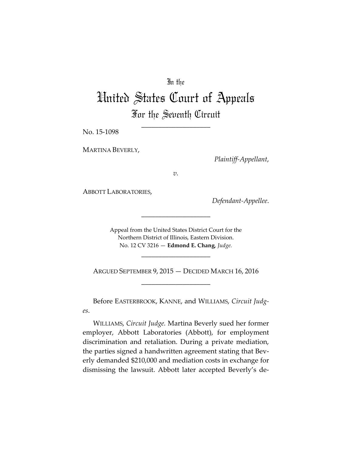## In the

# United States Court of Appeals For the Seventh Circuit

\_\_\_\_\_\_\_\_\_\_\_\_\_\_\_\_\_\_\_\_

No. 15-1098

MARTINA BEVERLY,

*Plaintiff-Appellant*,

*v.*

ABBOTT LABORATORIES,

*Defendant-Appellee*.

Appeal from the United States District Court for the Northern District of Illinois, Eastern Division. No. 12 CV 3216 — **Edmond E. Chang**, *Judge.*

\_\_\_\_\_\_\_\_\_\_\_\_\_\_\_\_\_\_\_\_

ARGUED SEPTEMBER 9, 2015 — DECIDED MARCH 16, 2016 \_\_\_\_\_\_\_\_\_\_\_\_\_\_\_\_\_\_\_\_

\_\_\_\_\_\_\_\_\_\_\_\_\_\_\_\_\_\_\_\_

Before EASTERBROOK, KANNE, and WILLIAMS, *Circuit Judges*.

WILLIAMS, *Circuit Judge.* Martina Beverly sued her former employer, Abbott Laboratories (Abbott), for employment discrimination and retaliation. During a private mediation, the parties signed a handwritten agreement stating that Beverly demanded \$210,000 and mediation costs in exchange for dismissing the lawsuit. Abbott later accepted Beverly's de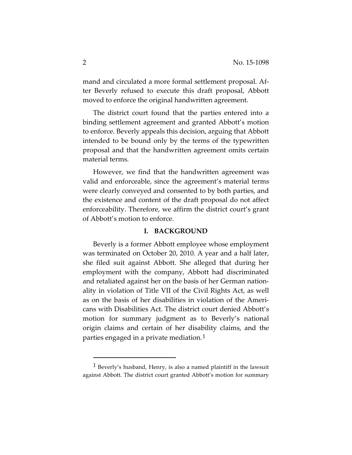mand and circulated a more formal settlement proposal. After Beverly refused to execute this draft proposal, Abbott moved to enforce the original handwritten agreement.

The district court found that the parties entered into a binding settlement agreement and granted Abbott's motion to enforce. Beverly appeals this decision, arguing that Abbott intended to be bound only by the terms of the typewritten proposal and that the handwritten agreement omits certain material terms.

However, we find that the handwritten agreement was valid and enforceable, since the agreement's material terms were clearly conveyed and consented to by both parties, and the existence and content of the draft proposal do not affect enforceability. Therefore, we affirm the district court's grant of Abbott's motion to enforce.

#### **I. BACKGROUND**

Beverly is a former Abbott employee whose employment was terminated on October 20, 2010. A year and a half later, she filed suit against Abbott. She alleged that during her employment with the company, Abbott had discriminated and retaliated against her on the basis of her German nationality in violation of Title VII of the Civil Rights Act, as well as on the basis of her disabilities in violation of the Americans with Disabilities Act. The district court denied Abbott's motion for summary judgment as to Beverly's national origin claims and certain of her disability claims, and the parties engaged in a private mediation.[1](#page-1-0)

 $\overline{a}$ 

<span id="page-1-0"></span> $<sup>1</sup>$  Beverly's husband, Henry, is also a named plaintiff in the lawsuit</sup> against Abbott. The district court granted Abbott's motion for summary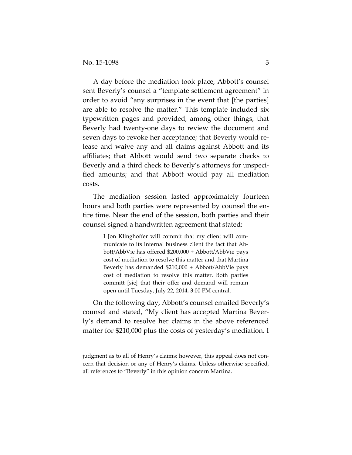$\overline{a}$ 

A day before the mediation took place, Abbott's counsel sent Beverly's counsel a "template settlement agreement" in order to avoid "any surprises in the event that [the parties] are able to resolve the matter." This template included six typewritten pages and provided, among other things, that Beverly had twenty-one days to review the document and seven days to revoke her acceptance; that Beverly would release and waive any and all claims against Abbott and its affiliates; that Abbott would send two separate checks to Beverly and a third check to Beverly's attorneys for unspecified amounts; and that Abbott would pay all mediation costs.

The mediation session lasted approximately fourteen hours and both parties were represented by counsel the entire time. Near the end of the session, both parties and their counsel signed a handwritten agreement that stated:

> I Jon Klinghoffer will commit that my client will communicate to its internal business client the fact that Abbott/AbbVie has offered \$200,000 + Abbott/AbbVie pays cost of mediation to resolve this matter and that Martina Beverly has demanded \$210,000 + Abbott/AbbVie pays cost of mediation to resolve this matter. Both parties committ [sic] that their offer and demand will remain open until Tuesday, July 22, 2014, 3:00 PM central.

On the following day, Abbott's counsel emailed Beverly's counsel and stated, "My client has accepted Martina Beverly's demand to resolve her claims in the above referenced matter for \$210,000 plus the costs of yesterday's mediation. I

judgment as to all of Henry's claims; however, this appeal does not concern that decision or any of Henry's claims. Unless otherwise specified, all references to "Beverly" in this opinion concern Martina.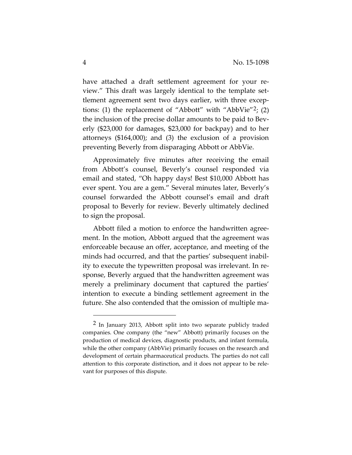have attached a draft settlement agreement for your review." This draft was largely identical to the template settlement agreement sent two days earlier, with three exceptions: (1) the replacement of "Abbott" with "Abb $\text{Vie}$ "<sup>[2](#page-3-0)</sup>; (2) the inclusion of the precise dollar amounts to be paid to Beverly (\$23,000 for damages, \$23,000 for backpay) and to her attorneys (\$164,000); and (3) the exclusion of a provision preventing Beverly from disparaging Abbott or AbbVie.

Approximately five minutes after receiving the email from Abbott's counsel, Beverly's counsel responded via email and stated, "Oh happy days! Best \$10,000 Abbott has ever spent. You are a gem." Several minutes later, Beverly's counsel forwarded the Abbott counsel's email and draft proposal to Beverly for review. Beverly ultimately declined to sign the proposal.

Abbott filed a motion to enforce the handwritten agreement. In the motion, Abbott argued that the agreement was enforceable because an offer, acceptance, and meeting of the minds had occurred, and that the parties' subsequent inability to execute the typewritten proposal was irrelevant. In response, Beverly argued that the handwritten agreement was merely a preliminary document that captured the parties' intention to execute a binding settlement agreement in the future. She also contended that the omission of multiple ma-

 $\overline{a}$ 

<span id="page-3-0"></span><sup>&</sup>lt;sup>2</sup> In January 2013, Abbott split into two separate publicly traded companies. One company (the "new" Abbott) primarily focuses on the production of medical devices, diagnostic products, and infant formula, while the other company (AbbVie) primarily focuses on the research and development of certain pharmaceutical products. The parties do not call attention to this corporate distinction, and it does not appear to be relevant for purposes of this dispute.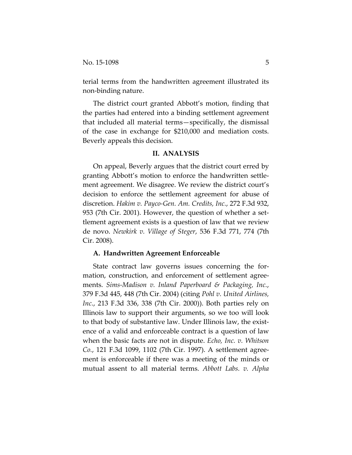terial terms from the handwritten agreement illustrated its non-binding nature.

The district court granted Abbott's motion, finding that the parties had entered into a binding settlement agreement that included all material terms—specifically, the dismissal of the case in exchange for \$210,000 and mediation costs. Beverly appeals this decision.

#### **II. ANALYSIS**

On appeal, Beverly argues that the district court erred by granting Abbott's motion to enforce the handwritten settlement agreement. We disagree. We review the district court's decision to enforce the settlement agreement for abuse of discretion. *Hakim v. Payco-Gen. Am. Credits, Inc.*, 272 F.3d 932, 953 (7th Cir. 2001). However, the question of whether a settlement agreement exists is a question of law that we review de novo. *Newkirk v. Village of Steger*, 536 F.3d 771, 774 (7th Cir. 2008).

#### **A. Handwritten Agreement Enforceable**

State contract law governs issues concerning the formation, construction, and enforcement of settlement agreements. *Sims-Madison v. Inland Paperboard & Packaging, Inc.*, 379 F.3d 445, 448 (7th Cir. 2004) (citing *Pohl v. United Airlines, Inc.*, 213 F.3d 336, 338 (7th Cir. 2000)). Both parties rely on Illinois law to support their arguments, so we too will look to that body of substantive law. Under Illinois law, the existence of a valid and enforceable contract is a question of law when the basic facts are not in dispute. *Echo, Inc. v. Whitson Co.*, 121 F.3d 1099, 1102 (7th Cir. 1997). A settlement agreement is enforceable if there was a meeting of the minds or mutual assent to all material terms. *Abbott Labs. v. Alpha*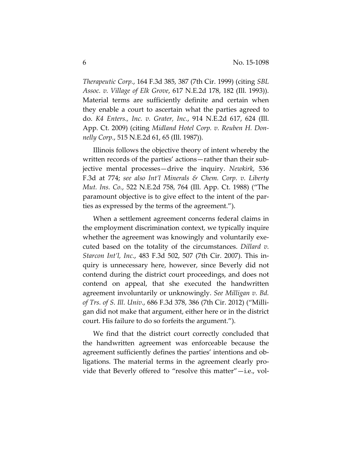*Therapeutic Corp.*, 164 F.3d 385, 387 (7th Cir. 1999) (citing *SBL Assoc. v. Village of Elk Grove*, 617 N.E.2d 178, 182 (Ill. 1993)). Material terms are sufficiently definite and certain when they enable a court to ascertain what the parties agreed to do. *K4 Enters., Inc. v. Grater, Inc.*, 914 N.E.2d 617, 624 (Ill. App. Ct. 2009) (citing *Midland Hotel Corp. v. Reuben H. Donnelly Corp.*, 515 N.E.2d 61, 65 (Ill. 1987)).

Illinois follows the objective theory of intent whereby the written records of the parties' actions—rather than their subjective mental processes—drive the inquiry. *Newkirk*, 536 F.3d at 774; *see also Int'l Minerals & Chem. Corp. v. Liberty Mut. Ins. Co.*, 522 N.E.2d 758, 764 (Ill. App. Ct. 1988) ("The paramount objective is to give effect to the intent of the parties as expressed by the terms of the agreement.").

When a settlement agreement concerns federal claims in the employment discrimination context, we typically inquire whether the agreement was knowingly and voluntarily executed based on the totality of the circumstances. *Dillard v. Starcon Int'l, Inc.*, 483 F.3d 502, 507 (7th Cir. 2007). This inquiry is unnecessary here, however, since Beverly did not contend during the district court proceedings, and does not contend on appeal, that she executed the handwritten agreement involuntarily or unknowingly. *See Milligan v. Bd. of Trs. of S. Ill. Univ.*, 686 F.3d 378, 386 (7th Cir. 2012) ("Milligan did not make that argument, either here or in the district court. His failure to do so forfeits the argument.").

We find that the district court correctly concluded that the handwritten agreement was enforceable because the agreement sufficiently defines the parties' intentions and obligations. The material terms in the agreement clearly provide that Beverly offered to "resolve this matter"—i.e., vol-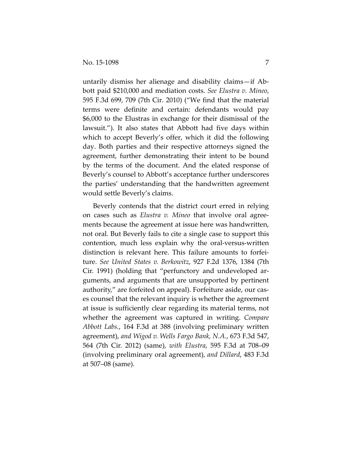untarily dismiss her alienage and disability claims—if Abbott paid \$210,000 and mediation costs. *See Elustra v. Mineo*, 595 F.3d 699, 709 (7th Cir. 2010) ("We find that the material terms were definite and certain: defendants would pay \$6,000 to the Elustras in exchange for their dismissal of the lawsuit."). It also states that Abbott had five days within which to accept Beverly's offer, which it did the following day. Both parties and their respective attorneys signed the agreement, further demonstrating their intent to be bound by the terms of the document. And the elated response of Beverly's counsel to Abbott's acceptance further underscores the parties' understanding that the handwritten agreement would settle Beverly's claims.

Beverly contends that the district court erred in relying on cases such as *Elustra v. Mineo* that involve oral agreements because the agreement at issue here was handwritten, not oral. But Beverly fails to cite a single case to support this contention, much less explain why the oral-versus-written distinction is relevant here. This failure amounts to forfeiture. *See United States v. Berkowitz*, 927 F.2d 1376, 1384 (7th Cir. 1991) (holding that "perfunctory and undeveloped arguments, and arguments that are unsupported by pertinent authority," are forfeited on appeal). Forfeiture aside, our cases counsel that the relevant inquiry is whether the agreement at issue is sufficiently clear regarding its material terms, not whether the agreement was captured in writing. *Compare Abbott Labs.*, 164 F.3d at 388 (involving preliminary written agreement), *and Wigod v. Wells Fargo Bank, N.A.*, 673 F.3d 547, 564 (7th Cir. 2012) (same), *with Elustra*, 595 F.3d at 708–09 (involving preliminary oral agreement), *and Dillard*, 483 F.3d at 507–08 (same).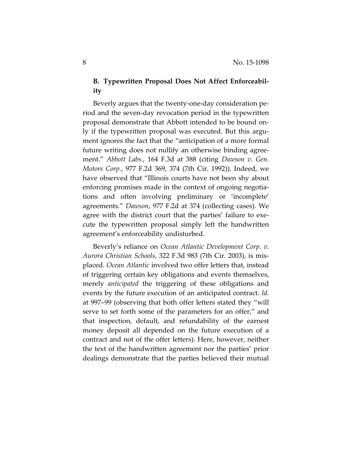# **B. Typewritten Proposal Does Not Affect Enforceability**

Beverly argues that the twenty-one-day consideration period and the seven-day revocation period in the typewritten proposal demonstrate that Abbott intended to be bound only if the typewritten proposal was executed. But this argument ignores the fact that the "anticipation of a more formal future writing does not nullify an otherwise binding agreement." *Abbott Labs.*, 164 F.3d at 388 (citing *Dawson v. Gen. Motors Corp.*, 977 F.2d 369, 374 (7th Cir. 1992)). Indeed, we have observed that "Illinois courts have not been shy about enforcing promises made in the context of ongoing negotiations and often involving preliminary or 'incomplete' agreements." *Dawson*, 977 F.2d at 374 (collecting cases). We agree with the district court that the parties' failure to execute the typewritten proposal simply left the handwritten agreement's enforceability undisturbed.

Beverly's reliance on *Ocean Atlantic Development Corp. v. Aurora Christian Schools*, 322 F.3d 983 (7th Cir. 2003), is misplaced. *Ocean Atlantic* involved two offer letters that, instead of triggering certain key obligations and events themselves, merely *anticipated* the triggering of these obligations and events by the future execution of an anticipated contract. *Id.* at 997–99 (observing that both offer letters stated they "will serve to set forth some of the parameters for an offer," and that inspection, default, and refundability of the earnest money deposit all depended on the future execution of a contract and not of the offer letters). Here, however, neither the text of the handwritten agreement nor the parties' prior dealings demonstrate that the parties believed their mutual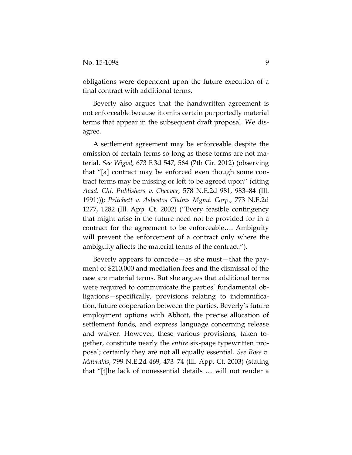obligations were dependent upon the future execution of a final contract with additional terms.

Beverly also argues that the handwritten agreement is not enforceable because it omits certain purportedly material terms that appear in the subsequent draft proposal. We disagree.

A settlement agreement may be enforceable despite the omission of certain terms so long as those terms are not material. *See Wigod*, 673 F.3d 547, 564 (7th Cir. 2012) (observing that "[a] contract may be enforced even though some contract terms may be missing or left to be agreed upon" (citing *Acad. Chi. Publishers v. Cheever*, 578 N.E.2d 981, 983–84 (Ill. 1991))); *Pritchett v. Asbestos Claims Mgmt. Corp.*, 773 N.E.2d 1277, 1282 (Ill. App. Ct. 2002) ("Every feasible contingency that might arise in the future need not be provided for in a contract for the agreement to be enforceable…. Ambiguity will prevent the enforcement of a contract only where the ambiguity affects the material terms of the contract.").

Beverly appears to concede—as she must—that the payment of \$210,000 and mediation fees and the dismissal of the case are material terms. But she argues that additional terms were required to communicate the parties' fundamental obligations—specifically, provisions relating to indemnification, future cooperation between the parties, Beverly's future employment options with Abbott, the precise allocation of settlement funds, and express language concerning release and waiver. However, these various provisions, taken together, constitute nearly the *entire* six-page typewritten proposal; certainly they are not all equally essential. *See Rose v. Mavrakis*, 799 N.E.2d 469, 473–74 (Ill. App. Ct. 2003) (stating that "[t]he lack of nonessential details … will not render a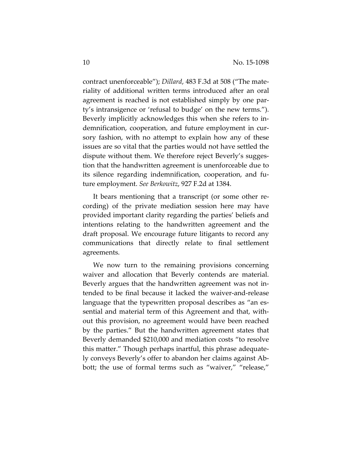contract unenforceable"); *Dillard*, 483 F.3d at 508 ("The materiality of additional written terms introduced after an oral agreement is reached is not established simply by one party's intransigence or 'refusal to budge' on the new terms."). Beverly implicitly acknowledges this when she refers to indemnification, cooperation, and future employment in cursory fashion, with no attempt to explain how any of these issues are so vital that the parties would not have settled the dispute without them. We therefore reject Beverly's suggestion that the handwritten agreement is unenforceable due to its silence regarding indemnification, cooperation, and future employment. *See Berkowitz*, 927 F.2d at 1384.

It bears mentioning that a transcript (or some other recording) of the private mediation session here may have provided important clarity regarding the parties' beliefs and intentions relating to the handwritten agreement and the draft proposal. We encourage future litigants to record any communications that directly relate to final settlement agreements.

We now turn to the remaining provisions concerning waiver and allocation that Beverly contends are material. Beverly argues that the handwritten agreement was not intended to be final because it lacked the waiver-and-release language that the typewritten proposal describes as "an essential and material term of this Agreement and that, without this provision, no agreement would have been reached by the parties." But the handwritten agreement states that Beverly demanded \$210,000 and mediation costs "to resolve this matter." Though perhaps inartful, this phrase adequately conveys Beverly's offer to abandon her claims against Abbott; the use of formal terms such as "waiver," "release,"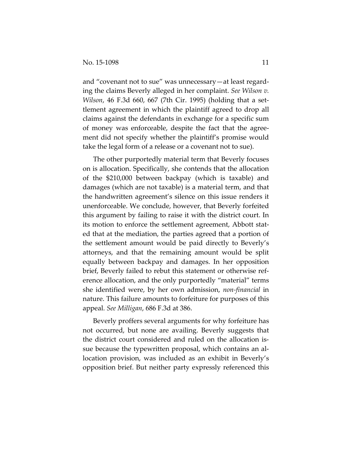and "covenant not to sue" was unnecessary—at least regarding the claims Beverly alleged in her complaint. *See Wilson v. Wilson*, 46 F.3d 660, 667 (7th Cir. 1995) (holding that a settlement agreement in which the plaintiff agreed to drop all claims against the defendants in exchange for a specific sum of money was enforceable, despite the fact that the agreement did not specify whether the plaintiff's promise would take the legal form of a release or a covenant not to sue).

The other purportedly material term that Beverly focuses on is allocation. Specifically, she contends that the allocation of the \$210,000 between backpay (which is taxable) and damages (which are not taxable) is a material term, and that the handwritten agreement's silence on this issue renders it unenforceable. We conclude, however, that Beverly forfeited this argument by failing to raise it with the district court. In its motion to enforce the settlement agreement, Abbott stated that at the mediation, the parties agreed that a portion of the settlement amount would be paid directly to Beverly's attorneys, and that the remaining amount would be split equally between backpay and damages. In her opposition brief, Beverly failed to rebut this statement or otherwise reference allocation, and the only purportedly "material" terms she identified were, by her own admission, *non-financial* in nature. This failure amounts to forfeiture for purposes of this appeal. *See Milligan*, 686 F.3d at 386.

Beverly proffers several arguments for why forfeiture has not occurred, but none are availing. Beverly suggests that the district court considered and ruled on the allocation issue because the typewritten proposal, which contains an allocation provision, was included as an exhibit in Beverly's opposition brief. But neither party expressly referenced this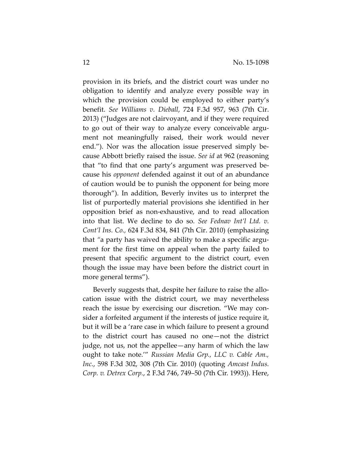provision in its briefs, and the district court was under no obligation to identify and analyze every possible way in which the provision could be employed to either party's benefit. *See Williams v. Dieball*, 724 F.3d 957, 963 (7th Cir. 2013) ("Judges are not clairvoyant, and if they were required to go out of their way to analyze every conceivable argument not meaningfully raised, their work would never end."). Nor was the allocation issue preserved simply because Abbott briefly raised the issue. *See id* at 962 (reasoning that "to find that one party's argument was preserved because his *opponent* defended against it out of an abundance of caution would be to punish the opponent for being more thorough"). In addition, Beverly invites us to interpret the list of purportedly material provisions she identified in her opposition brief as non-exhaustive, and to read allocation into that list. We decline to do so. *See Fednav Int'l Ltd. v. Cont'l Ins. Co.,* 624 F.3d 834, 841 (7th Cir. 2010) (emphasizing that *"*a party has waived the ability to make a specific argument for the first time on appeal when the party failed to present that specific argument to the district court, even though the issue may have been before the district court in more general terms").

Beverly suggests that, despite her failure to raise the allocation issue with the district court, we may nevertheless reach the issue by exercising our discretion. "We may consider a forfeited argument if the interests of justice require it, but it will be a 'rare case in which failure to present a ground to the district court has caused no one—not the district judge, not us, not the appellee—any harm of which the law ought to take note.'" *Russian Media Grp., LLC v. Cable Am., Inc.*, 598 F.3d 302, 308 (7th Cir. 2010) (quoting *Amcast Indus. Corp. v. Detrex Corp.*, 2 F.3d 746, 749–50 (7th Cir. 1993)). Here,